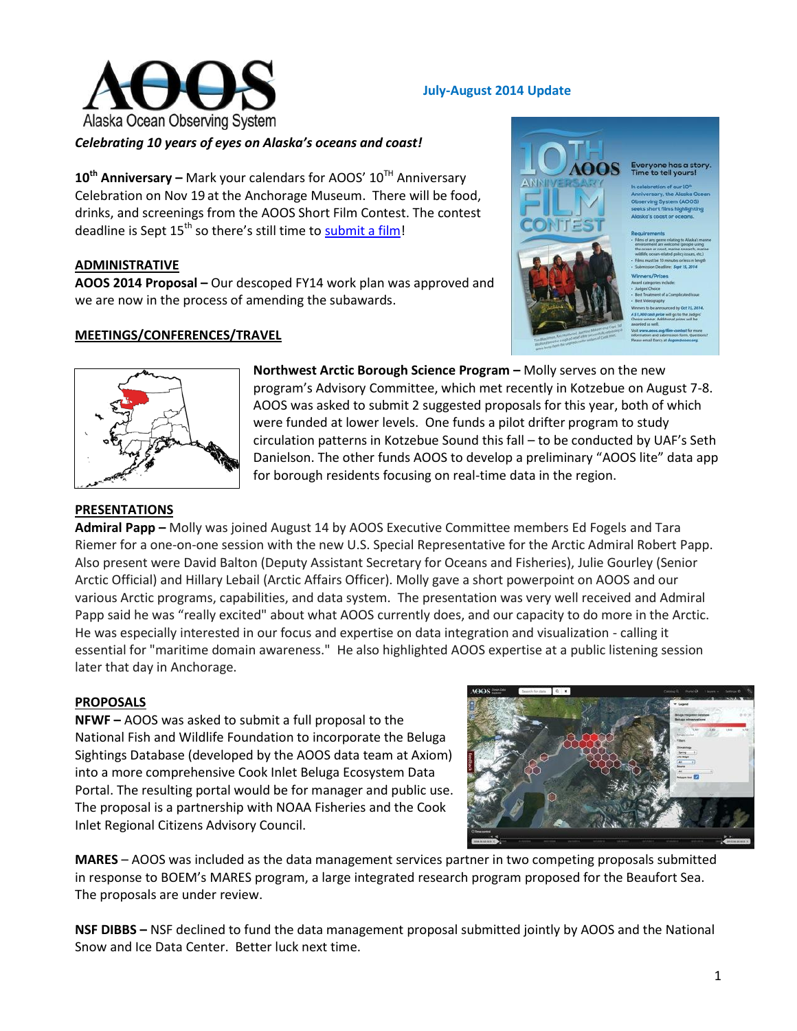

## **July-August 2014 Update**

## *Celebrating 10 years of eyes on Alaska's oceans and coast!*

10<sup>th</sup> Anniversary – Mark your calendars for AOOS' 10<sup>TH</sup> Anniversary Celebration on Nov 19 at the Anchorage Museum. There will be food, drinks, and screenings from the AOOS Short Film Contest. The contest deadline is Sept  $15<sup>th</sup>$  so there's still time to [submit a film!](mailto:http://www.aoos.org/film-contest/)

### **ADMINISTRATIVE**

**AOOS 2014 Proposal –** Our descoped FY14 work plan was approved and we are now in the process of amending the subawards.

#### **MEETINGS/CONFERENCES/TRAVEL**





**Northwest Arctic Borough Science Program –** Molly serves on the new program's Advisory Committee, which met recently in Kotzebue on August 7-8. AOOS was asked to submit 2 suggested proposals for this year, both of which were funded at lower levels. One funds a pilot drifter program to study circulation patterns in Kotzebue Sound this fall – to be conducted by UAF's Seth Danielson. The other funds AOOS to develop a preliminary "AOOS lite" data app for borough residents focusing on real-time data in the region.

### **PRESENTATIONS**

**Admiral Papp –** Molly was joined August 14 by AOOS Executive Committee members Ed Fogels and Tara Riemer for a one-on-one session with the new U.S. Special Representative for the Arctic Admiral Robert Papp. Also present were David Balton (Deputy Assistant Secretary for Oceans and Fisheries), Julie Gourley (Senior Arctic Official) and Hillary Lebail (Arctic Affairs Officer). Molly gave a short powerpoint on AOOS and our various Arctic programs, capabilities, and data system. The presentation was very well received and Admiral Papp said he was "really excited" about what AOOS currently does, and our capacity to do more in the Arctic. He was especially interested in our focus and expertise on data integration and visualization - calling it essential for "maritime domain awareness." He also highlighted AOOS expertise at a public listening session later that day in Anchorage.

### **PROPOSALS**

**NFWF –** AOOS was asked to submit a full proposal to the National Fish and Wildlife Foundation to incorporate the Beluga Sightings Database (developed by the AOOS data team at Axiom) into a more comprehensive Cook Inlet Beluga Ecosystem Data Portal. The resulting portal would be for manager and public use. The proposal is a partnership with NOAA Fisheries and the Cook Inlet Regional Citizens Advisory Council.



**MARES** – AOOS was included as the data management services partner in two competing proposals submitted in response to BOEM's MARES program, a large integrated research program proposed for the Beaufort Sea. The proposals are under review.

**NSF DIBBS –** NSF declined to fund the data management proposal submitted jointly by AOOS and the National Snow and Ice Data Center. Better luck next time.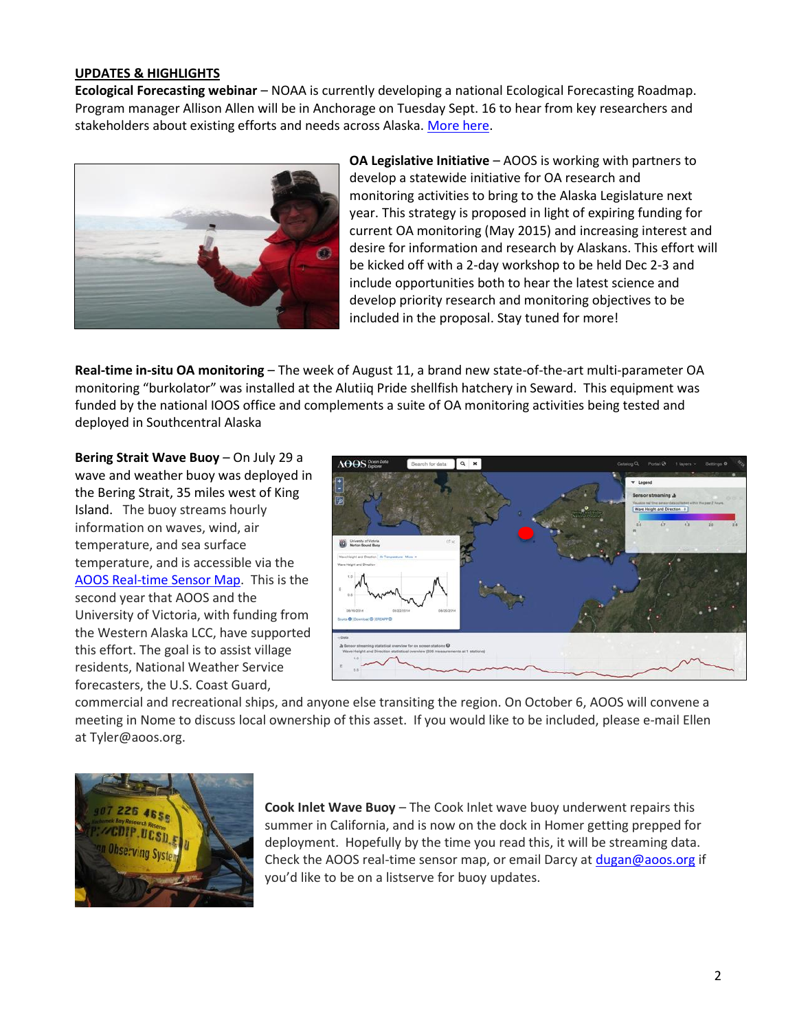## **UPDATES & HIGHLIGHTS**

**Ecological Forecasting webinar** – NOAA is currently developing a national Ecological Forecasting Roadmap. Program manager Allison Allen will be in Anchorage on Tuesday Sept. 16 to hear from key researchers and stakeholders about existing efforts and needs across Alaska. [More here.](mailto:http://us5.campaign-archive1.com/%3Fu=94e2f9739e5720e2341b0e373%26id=30a9c01df8%26e=97e06a0aa9)



**OA Legislative Initiative** – AOOS is working with partners to develop a statewide initiative for OA research and monitoring activities to bring to the Alaska Legislature next year. This strategy is proposed in light of expiring funding for current OA monitoring (May 2015) and increasing interest and desire for information and research by Alaskans. This effort will be kicked off with a 2-day workshop to be held Dec 2-3 and include opportunities both to hear the latest science and develop priority research and monitoring objectives to be included in the proposal. Stay tuned for more!

**Real-time in-situ OA monitoring** – The week of August 11, a brand new state-of-the-art multi-parameter OA monitoring "burkolator" was installed at the Alutiiq Pride shellfish hatchery in Seward. This equipment was funded by the national IOOS office and complements a suite of OA monitoring activities being tested and deployed in Southcentral Alaska

**Bering Strait Wave Buoy** – On July 29 a wave and weather buoy was deployed in the Bering Strait, 35 miles west of King Island. The buoy streams hourly information on waves, wind, air temperature, and sea surface temperature, and is accessible via the [AOOS Real-time Sensor Map.](mailto:http://portal.aoos.org/real-time-sensors.php%23map%3Flg=8c5dd704-59ad-11e1-bb67-0019b9dae22b%26p=proj3857%26b=google_hybrid) This is the second year that AOOS and the University of Victoria, with funding from the Western Alaska LCC, have supported this effort. The goal is to assist village residents, National Weather Service forecasters, the U.S. Coast Guard,



commercial and recreational ships, and anyone else transiting the region. On October 6, AOOS will convene a meeting in Nome to discuss local ownership of this asset. If you would like to be included, please e-mail Ellen at Tyler@aoos.org.



**Cook Inlet Wave Buoy** – The Cook Inlet wave buoy underwent repairs this summer in California, and is now on the dock in Homer getting prepped for deployment. Hopefully by the time you read this, it will be streaming data. Check the AOOS real-time sensor map, or email Darcy a[t dugan@aoos.org](mailto:dugan@aoos.org) if you'd like to be on a listserve for buoy updates.